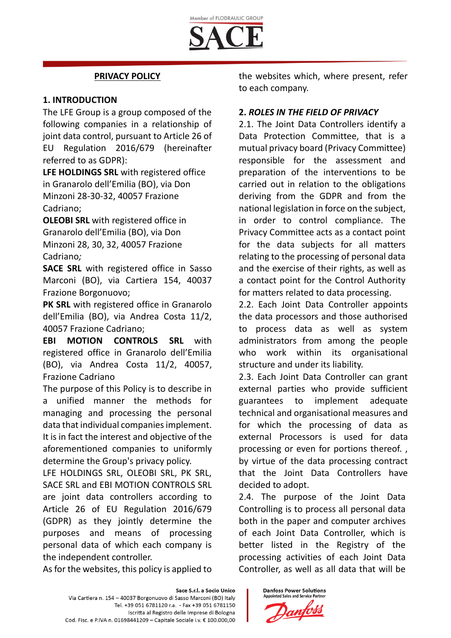## **PRIVACY POLICY**

### **1. INTRODUCTION**

The LFE Group is a group composed of the following companies in a relationship of joint data control, pursuant to Article 26 of EU Regulation 2016/679 (hereinafter referred to as GDPR):

**LFE HOLDINGS SRL** with registered office in Granarolo dell'Emilia (BO), via Don Minzoni 28-30-32, 40057 Frazione Cadriano;

**OLEOBI SRL** with registered office in Granarolo dell'Emilia (BO), via Don Minzoni 28, 30, 32, 40057 Frazione Cadriano*;*

**SACE SRL** with registered office in Sasso Marconi (BO), via Cartiera 154, 40037 Frazione Borgonuovo;

**PK SRL** with registered office in Granarolo dell'Emilia (BO), via Andrea Costa 11/2, 40057 Frazione Cadriano;

**EBI MOTION CONTROLS SRL** with registered office in Granarolo dell'Emilia (BO), via Andrea Costa 11/2, 40057, Frazione Cadriano

The purpose of this Policy is to describe in a unified manner the methods for managing and processing the personal data that individual companies implement. It is in fact the interest and objective of the aforementioned companies to uniformly determine the Group's privacy policy.

LFE HOLDINGS SRL, OLEOBI SRL, PK SRL, SACE SRL and EBI MOTION CONTROLS SRL are joint data controllers according to Article 26 of EU Regulation 2016/679 (GDPR) as they jointly determine the purposes and means of processing personal data of which each company is the independent controller.

As for the websites, this policy is applied to

the websites which, where present, refer to each company.

### **2.** *ROLES IN THE FIELD OF PRIVACY*

2.1. The Joint Data Controllers identify a Data Protection Committee, that is a mutual privacy board (Privacy Committee) responsible for the assessment and preparation of the interventions to be carried out in relation to the obligations deriving from the GDPR and from the national legislation in force on the subject, in order to control compliance. The Privacy Committee acts as a contact point for the data subjects for all matters relating to the processing of personal data and the exercise of their rights, as well as a contact point for the Control Authority for matters related to data processing.

2.2. Each Joint Data Controller appoints the data processors and those authorised to process data as well as system administrators from among the people who work within its organisational structure and under its liability.

2.3. Each Joint Data Controller can grant external parties who provide sufficient guarantees to implement adequate technical and organisational measures and for which the processing of data as external Processors is used for data processing or even for portions thereof. , by virtue of the data processing contract that the Joint Data Controllers have decided to adopt.

2.4. The purpose of the Joint Data Controlling is to process all personal data both in the paper and computer archives of each Joint Data Controller, which is better listed in the Registry of the processing activities of each Joint Data Controller, as well as all data that will be

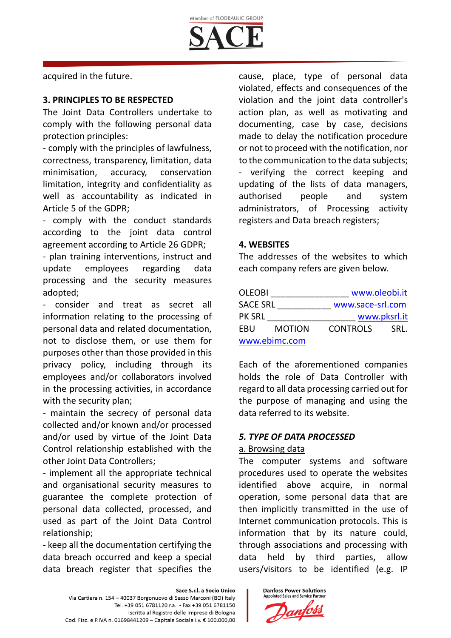

acquired in the future.

### **3. PRINCIPLES TO BE RESPECTED**

The Joint Data Controllers undertake to comply with the following personal data protection principles:

- comply with the principles of lawfulness, correctness, transparency, limitation, data minimisation, accuracy, conservation limitation, integrity and confidentiality as well as accountability as indicated in Article 5 of the GDPR;

- comply with the conduct standards according to the joint data control agreement according to Article 26 GDPR;

- plan training interventions, instruct and update employees regarding data processing and the security measures adopted;

- consider and treat as secret all information relating to the processing of personal data and related documentation, not to disclose them, or use them for purposes other than those provided in this privacy policy, including through its employees and/or collaborators involved in the processing activities, in accordance with the security plan;

- maintain the secrecy of personal data collected and/or known and/or processed and/or used by virtue of the Joint Data Control relationship established with the other Joint Data Controllers;

- implement all the appropriate technical and organisational security measures to guarantee the complete protection of personal data collected, processed, and used as part of the Joint Data Control relationship;

- keep all the documentation certifying the data breach occurred and keep a special data breach register that specifies the cause, place, type of personal data violated, effects and consequences of the violation and the joint data controller's action plan, as well as motivating and documenting, case by case, decisions made to delay the notification procedure or not to proceed with the notification, nor to the communication to the data subjects; - verifying the correct keeping and updating of the lists of data managers, authorised people and system administrators, of Processing activity registers and Data breach registers;

#### **4. WEBSITES**

The addresses of the websites to which each company refers are given below.

| <b>OLEOBI</b>   |               | www.oleobi.it    |      |
|-----------------|---------------|------------------|------|
| <b>SACE SRL</b> |               | www.sace-srl.com |      |
| <b>PK SRL</b>   |               | www.pksrl.it     |      |
| EBU             | <b>MOTION</b> | <b>CONTROLS</b>  | SRL. |
| www.ebimc.com   |               |                  |      |

Each of the aforementioned companies holds the role of Data Controller with regard to all data processing carried out for the purpose of managing and using the data referred to its website.

### *5. TYPE OF DATA PROCESSED*

### a. Browsing data

The computer systems and software procedures used to operate the websites identified above acquire, in normal operation, some personal data that are then implicitly transmitted in the use of Internet communication protocols. This is information that by its nature could, through associations and processing with data held by third parties, allow users/visitors to be identified (e.g. IP

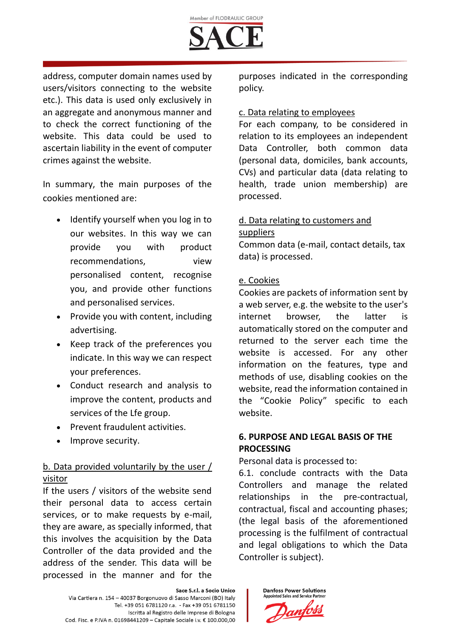

address, computer domain names used by users/visitors connecting to the website etc.). This data is used only exclusively in an aggregate and anonymous manner and to check the correct functioning of the website. This data could be used to ascertain liability in the event of computer crimes against the website.

In summary, the main purposes of the cookies mentioned are:

- Identify yourself when you log in to our websites. In this way we can provide you with product recommendations, view personalised content, recognise you, and provide other functions and personalised services.
- Provide you with content, including advertising.
- Keep track of the preferences you indicate. In this way we can respect your preferences.
- Conduct research and analysis to improve the content, products and services of the Lfe group.
- Prevent fraudulent activities.
- Improve security.

# b. Data provided voluntarily by the user / visitor

If the users / visitors of the website send their personal data to access certain services, or to make requests by e-mail, they are aware, as specially informed, that this involves the acquisition by the Data Controller of the data provided and the address of the sender. This data will be processed in the manner and for the

purposes indicated in the corresponding policy.

### c. Data relating to employees

For each company, to be considered in relation to its employees an independent Data Controller, both common data (personal data, domiciles, bank accounts, CVs) and particular data (data relating to health, trade union membership) are processed.

# d. Data relating to customers and suppliers

Common data (e-mail, contact details, tax data) is processed.

## e. Cookies

Cookies are packets of information sent by a web server, e.g. the website to the user's internet browser, the latter is automatically stored on the computer and returned to the server each time the website is accessed. For any other information on the features, type and methods of use, disabling cookies on the website, read the information contained in the "Cookie Policy" specific to each website.

# **6. PURPOSE AND LEGAL BASIS OF THE PROCESSING**

Personal data is processed to:

6.1. conclude contracts with the Data Controllers and manage the related relationships in the pre-contractual, contractual, fiscal and accounting phases; (the legal basis of the aforementioned processing is the fulfilment of contractual and legal obligations to which the Data Controller is subject).

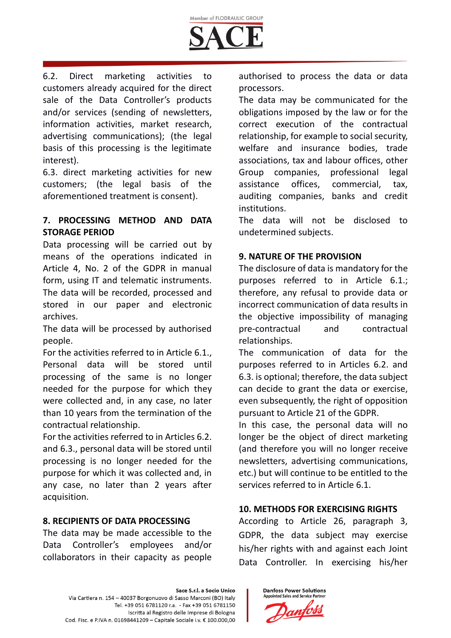

6.2. Direct marketing activities to customers already acquired for the direct sale of the Data Controller's products and/or services (sending of newsletters, information activities, market research, advertising communications); (the legal basis of this processing is the legitimate interest).

6.3. direct marketing activities for new customers; (the legal basis of the aforementioned treatment is consent).

## **7. PROCESSING METHOD AND DATA STORAGE PERIOD**

Data processing will be carried out by means of the operations indicated in Article 4, No. 2 of the GDPR in manual form, using IT and telematic instruments. The data will be recorded, processed and stored in our paper and electronic archives.

The data will be processed by authorised people.

For the activities referred to in Article 6.1., Personal data will be stored until processing of the same is no longer needed for the purpose for which they were collected and, in any case, no later than 10 years from the termination of the contractual relationship.

For the activities referred to in Articles 6.2. and 6.3., personal data will be stored until processing is no longer needed for the purpose for which it was collected and, in any case, no later than 2 years after acquisition.

### **8. RECIPIENTS OF DATA PROCESSING**

The data may be made accessible to the Data Controller's employees and/or collaborators in their capacity as people

authorised to process the data or data processors.

The data may be communicated for the obligations imposed by the law or for the correct execution of the contractual relationship, for example to social security, welfare and insurance bodies, trade associations, tax and labour offices, other Group companies, professional legal assistance offices, commercial, tax, auditing companies, banks and credit institutions.

The data will not be disclosed to undetermined subjects.

### **9. NATURE OF THE PROVISION**

The disclosure of data is mandatory for the purposes referred to in Article 6.1.; therefore, any refusal to provide data or incorrect communication of data results in the objective impossibility of managing pre-contractual and contractual relationships.

The communication of data for the purposes referred to in Articles 6.2. and 6.3. is optional; therefore, the data subject can decide to grant the data or exercise, even subsequently, the right of opposition pursuant to Article 21 of the GDPR.

In this case, the personal data will no longer be the object of direct marketing (and therefore you will no longer receive newsletters, advertising communications, etc.) but will continue to be entitled to the services referred to in Article 6.1.

## **10. METHODS FOR EXERCISING RIGHTS**

According to Article 26, paragraph 3, GDPR, the data subject may exercise his/her rights with and against each Joint Data Controller. In exercising his/her